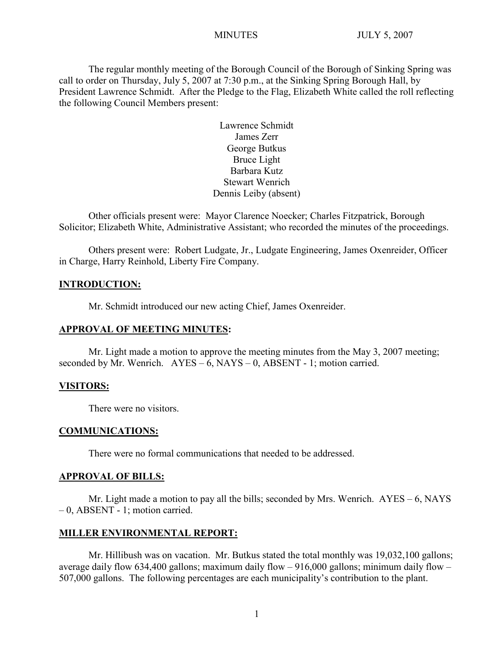The regular monthly meeting of the Borough Council of the Borough of Sinking Spring was call to order on Thursday, July 5, 2007 at 7:30 p.m., at the Sinking Spring Borough Hall, by President Lawrence Schmidt. After the Pledge to the Flag, Elizabeth White called the roll reflecting the following Council Members present:

> Lawrence Schmidt James Zerr George Butkus Bruce Light Barbara Kutz Stewart Wenrich Dennis Leiby (absent)

Other officials present were: Mayor Clarence Noecker; Charles Fitzpatrick, Borough Solicitor; Elizabeth White, Administrative Assistant; who recorded the minutes of the proceedings.

Others present were: Robert Ludgate, Jr., Ludgate Engineering, James Oxenreider, Officer in Charge, Harry Reinhold, Liberty Fire Company.

## **INTRODUCTION:**

Mr. Schmidt introduced our new acting Chief, James Oxenreider.

## **APPROVAL OF MEETING MINUTES:**

Mr. Light made a motion to approve the meeting minutes from the May 3, 2007 meeting; seconded by Mr. Wenrich.  $AYES - 6$ ,  $NAYS - 0$ ,  $ABSENT - 1$ ; motion carried.

#### **VISITORS:**

There were no visitors.

#### **COMMUNICATIONS:**

There were no formal communications that needed to be addressed.

#### **APPROVAL OF BILLS:**

Mr. Light made a motion to pay all the bills; seconded by Mrs. Wenrich. AYES – 6, NAYS – 0, ABSENT - 1; motion carried.

#### **MILLER ENVIRONMENTAL REPORT:**

Mr. Hillibush was on vacation. Mr. Butkus stated the total monthly was 19,032,100 gallons; average daily flow 634,400 gallons; maximum daily flow – 916,000 gallons; minimum daily flow – 507,000 gallons. The following percentages are each municipality's contribution to the plant.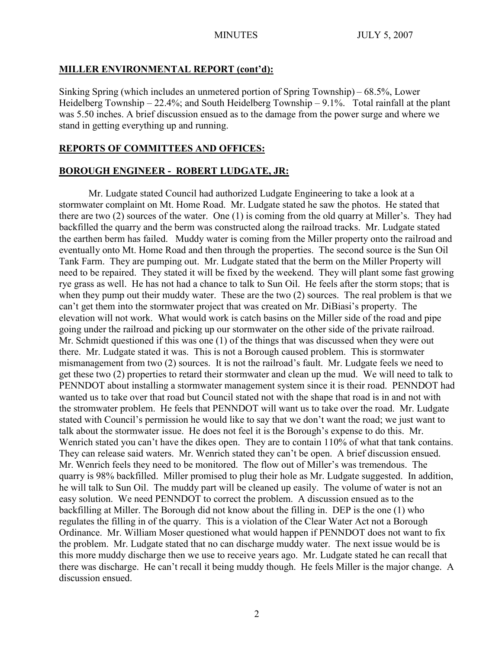## **MILLER ENVIRONMENTAL REPORT (cont'd):**

Sinking Spring (which includes an unmetered portion of Spring Township) – 68.5%, Lower Heidelberg Township –  $22.4\%$ ; and South Heidelberg Township –  $9.1\%$ . Total rainfall at the plant was 5.50 inches. A brief discussion ensued as to the damage from the power surge and where we stand in getting everything up and running.

## **REPORTS OF COMMITTEES AND OFFICES:**

## **BOROUGH ENGINEER - ROBERT LUDGATE, JR:**

Mr. Ludgate stated Council had authorized Ludgate Engineering to take a look at a stormwater complaint on Mt. Home Road. Mr. Ludgate stated he saw the photos. He stated that there are two (2) sources of the water. One (1) is coming from the old quarry at Miller's. They had backfilled the quarry and the berm was constructed along the railroad tracks. Mr. Ludgate stated the earthen berm has failed. Muddy water is coming from the Miller property onto the railroad and eventually onto Mt. Home Road and then through the properties. The second source is the Sun Oil Tank Farm. They are pumping out. Mr. Ludgate stated that the berm on the Miller Property will need to be repaired. They stated it will be fixed by the weekend. They will plant some fast growing rye grass as well. He has not had a chance to talk to Sun Oil. He feels after the storm stops; that is when they pump out their muddy water. These are the two (2) sources. The real problem is that we can't get them into the stormwater project that was created on Mr. DiBiasi's property. The elevation will not work. What would work is catch basins on the Miller side of the road and pipe going under the railroad and picking up our stormwater on the other side of the private railroad. Mr. Schmidt questioned if this was one (1) of the things that was discussed when they were out there. Mr. Ludgate stated it was. This is not a Borough caused problem. This is stormwater mismanagement from two (2) sources. It is not the railroad's fault. Mr. Ludgate feels we need to get these two (2) properties to retard their stormwater and clean up the mud. We will need to talk to PENNDOT about installing a stormwater management system since it is their road. PENNDOT had wanted us to take over that road but Council stated not with the shape that road is in and not with the stromwater problem. He feels that PENNDOT will want us to take over the road. Mr. Ludgate stated with Council's permission he would like to say that we don't want the road; we just want to talk about the stormwater issue. He does not feel it is the Borough's expense to do this. Mr. Wenrich stated you can't have the dikes open. They are to contain 110% of what that tank contains. They can release said waters. Mr. Wenrich stated they can't be open. A brief discussion ensued. Mr. Wenrich feels they need to be monitored. The flow out of Miller's was tremendous. The quarry is 98% backfilled. Miller promised to plug their hole as Mr. Ludgate suggested. In addition, he will talk to Sun Oil. The muddy part will be cleaned up easily. The volume of water is not an easy solution. We need PENNDOT to correct the problem. A discussion ensued as to the backfilling at Miller. The Borough did not know about the filling in. DEP is the one (1) who regulates the filling in of the quarry. This is a violation of the Clear Water Act not a Borough Ordinance. Mr. William Moser questioned what would happen if PENNDOT does not want to fix the problem. Mr. Ludgate stated that no can discharge muddy water. The next issue would be is this more muddy discharge then we use to receive years ago. Mr. Ludgate stated he can recall that there was discharge. He can't recall it being muddy though. He feels Miller is the major change. A discussion ensued.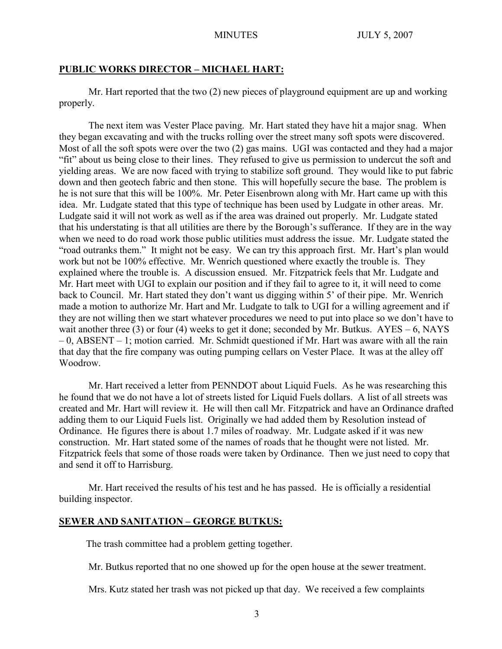#### **PUBLIC WORKS DIRECTOR – MICHAEL HART:**

Mr. Hart reported that the two (2) new pieces of playground equipment are up and working properly.

The next item was Vester Place paving. Mr. Hart stated they have hit a major snag. When they began excavating and with the trucks rolling over the street many soft spots were discovered. Most of all the soft spots were over the two (2) gas mains. UGI was contacted and they had a major "fit" about us being close to their lines. They refused to give us permission to undercut the soft and yielding areas. We are now faced with trying to stabilize soft ground. They would like to put fabric down and then geotech fabric and then stone. This will hopefully secure the base. The problem is he is not sure that this will be 100%. Mr. Peter Eisenbrown along with Mr. Hart came up with this idea. Mr. Ludgate stated that this type of technique has been used by Ludgate in other areas. Mr. Ludgate said it will not work as well as if the area was drained out properly. Mr. Ludgate stated that his understating is that all utilities are there by the Borough's sufferance. If they are in the way when we need to do road work those public utilities must address the issue. Mr. Ludgate stated the "road outranks them." It might not be easy. We can try this approach first. Mr. Hart's plan would work but not be 100% effective. Mr. Wenrich questioned where exactly the trouble is. They explained where the trouble is. A discussion ensued. Mr. Fitzpatrick feels that Mr. Ludgate and Mr. Hart meet with UGI to explain our position and if they fail to agree to it, it will need to come back to Council. Mr. Hart stated they don't want us digging within 5' of their pipe. Mr. Wenrich made a motion to authorize Mr. Hart and Mr. Ludgate to talk to UGI for a willing agreement and if they are not willing then we start whatever procedures we need to put into place so we don't have to wait another three (3) or four (4) weeks to get it done; seconded by Mr. Butkus.  $AYES - 6$ , NAYS – 0, ABSENT – 1; motion carried. Mr. Schmidt questioned if Mr. Hart was aware with all the rain that day that the fire company was outing pumping cellars on Vester Place. It was at the alley off Woodrow.

Mr. Hart received a letter from PENNDOT about Liquid Fuels. As he was researching this he found that we do not have a lot of streets listed for Liquid Fuels dollars. A list of all streets was created and Mr. Hart will review it. He will then call Mr. Fitzpatrick and have an Ordinance drafted adding them to our Liquid Fuels list. Originally we had added them by Resolution instead of Ordinance. He figures there is about 1.7 miles of roadway. Mr. Ludgate asked if it was new construction. Mr. Hart stated some of the names of roads that he thought were not listed. Mr. Fitzpatrick feels that some of those roads were taken by Ordinance. Then we just need to copy that and send it off to Harrisburg.

Mr. Hart received the results of his test and he has passed. He is officially a residential building inspector.

#### **SEWER AND SANITATION – GEORGE BUTKUS:**

The trash committee had a problem getting together.

Mr. Butkus reported that no one showed up for the open house at the sewer treatment.

Mrs. Kutz stated her trash was not picked up that day. We received a few complaints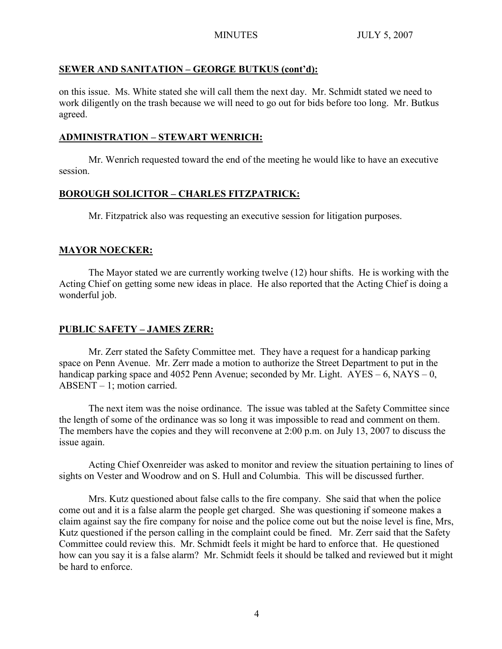# **SEWER AND SANITATION – GEORGE BUTKUS (cont'd):**

on this issue. Ms. White stated she will call them the next day. Mr. Schmidt stated we need to work diligently on the trash because we will need to go out for bids before too long. Mr. Butkus agreed.

# **ADMINISTRATION – STEWART WENRICH:**

Mr. Wenrich requested toward the end of the meeting he would like to have an executive session.

# **BOROUGH SOLICITOR – CHARLES FITZPATRICK:**

Mr. Fitzpatrick also was requesting an executive session for litigation purposes.

# **MAYOR NOECKER:**

The Mayor stated we are currently working twelve (12) hour shifts. He is working with the Acting Chief on getting some new ideas in place. He also reported that the Acting Chief is doing a wonderful job.

# **PUBLIC SAFETY – JAMES ZERR:**

Mr. Zerr stated the Safety Committee met. They have a request for a handicap parking space on Penn Avenue. Mr. Zerr made a motion to authorize the Street Department to put in the handicap parking space and 4052 Penn Avenue; seconded by Mr. Light.  $AYES - 6$ ,  $NAYS - 0$ , ABSENT – 1; motion carried.

The next item was the noise ordinance. The issue was tabled at the Safety Committee since the length of some of the ordinance was so long it was impossible to read and comment on them. The members have the copies and they will reconvene at 2:00 p.m. on July 13, 2007 to discuss the issue again.

Acting Chief Oxenreider was asked to monitor and review the situation pertaining to lines of sights on Vester and Woodrow and on S. Hull and Columbia. This will be discussed further.

Mrs. Kutz questioned about false calls to the fire company. She said that when the police come out and it is a false alarm the people get charged. She was questioning if someone makes a claim against say the fire company for noise and the police come out but the noise level is fine, Mrs, Kutz questioned if the person calling in the complaint could be fined. Mr. Zerr said that the Safety Committee could review this. Mr. Schmidt feels it might be hard to enforce that. He questioned how can you say it is a false alarm? Mr. Schmidt feels it should be talked and reviewed but it might be hard to enforce.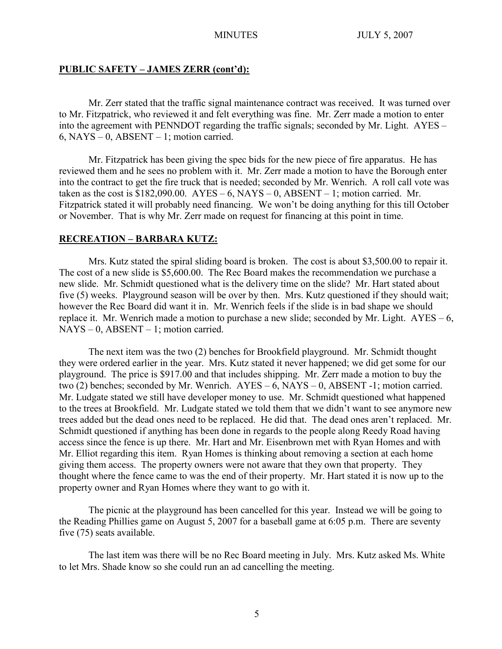## **PUBLIC SAFETY – JAMES ZERR (cont'd):**

Mr. Zerr stated that the traffic signal maintenance contract was received. It was turned over to Mr. Fitzpatrick, who reviewed it and felt everything was fine. Mr. Zerr made a motion to enter into the agreement with PENNDOT regarding the traffic signals; seconded by Mr. Light. AYES – 6, NAYS – 0, ABSENT – 1; motion carried.

Mr. Fitzpatrick has been giving the spec bids for the new piece of fire apparatus. He has reviewed them and he sees no problem with it. Mr. Zerr made a motion to have the Borough enter into the contract to get the fire truck that is needed; seconded by Mr. Wenrich. A roll call vote was taken as the cost is  $$182,090.00$ . AYES – 6, NAYS – 0, ABSENT – 1; motion carried. Mr. Fitzpatrick stated it will probably need financing. We won't be doing anything for this till October or November. That is why Mr. Zerr made on request for financing at this point in time.

## **RECREATION – BARBARA KUTZ:**

Mrs. Kutz stated the spiral sliding board is broken. The cost is about \$3,500.00 to repair it. The cost of a new slide is \$5,600.00. The Rec Board makes the recommendation we purchase a new slide. Mr. Schmidt questioned what is the delivery time on the slide? Mr. Hart stated about five (5) weeks. Playground season will be over by then. Mrs. Kutz questioned if they should wait; however the Rec Board did want it in. Mr. Wenrich feels if the slide is in bad shape we should replace it. Mr. Wenrich made a motion to purchase a new slide; seconded by Mr. Light.  $AYES - 6$ ,  $NAYS - 0$ ,  $ABSENT - 1$ ; motion carried.

The next item was the two (2) benches for Brookfield playground. Mr. Schmidt thought they were ordered earlier in the year. Mrs. Kutz stated it never happened; we did get some for our playground. The price is \$917.00 and that includes shipping. Mr. Zerr made a motion to buy the two (2) benches; seconded by Mr. Wenrich. AYES – 6, NAYS – 0, ABSENT -1; motion carried. Mr. Ludgate stated we still have developer money to use. Mr. Schmidt questioned what happened to the trees at Brookfield. Mr. Ludgate stated we told them that we didn't want to see anymore new trees added but the dead ones need to be replaced. He did that. The dead ones aren't replaced. Mr. Schmidt questioned if anything has been done in regards to the people along Reedy Road having access since the fence is up there. Mr. Hart and Mr. Eisenbrown met with Ryan Homes and with Mr. Elliot regarding this item. Ryan Homes is thinking about removing a section at each home giving them access. The property owners were not aware that they own that property. They thought where the fence came to was the end of their property. Mr. Hart stated it is now up to the property owner and Ryan Homes where they want to go with it.

The picnic at the playground has been cancelled for this year. Instead we will be going to the Reading Phillies game on August 5, 2007 for a baseball game at 6:05 p.m. There are seventy five (75) seats available.

The last item was there will be no Rec Board meeting in July. Mrs. Kutz asked Ms. White to let Mrs. Shade know so she could run an ad cancelling the meeting.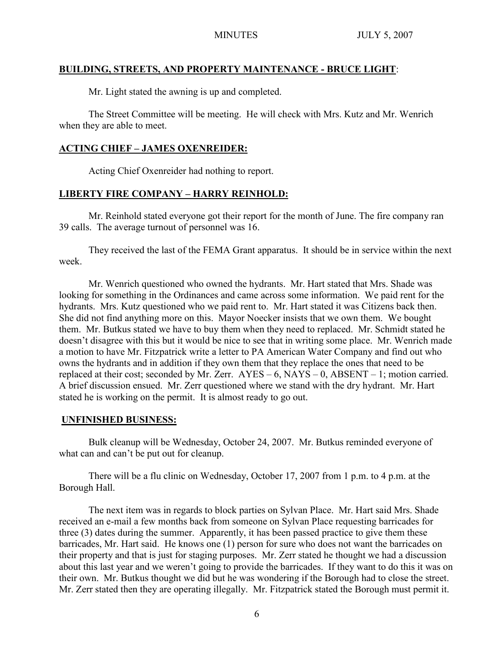## **BUILDING, STREETS, AND PROPERTY MAINTENANCE - BRUCE LIGHT**:

Mr. Light stated the awning is up and completed.

The Street Committee will be meeting. He will check with Mrs. Kutz and Mr. Wenrich when they are able to meet.

# **ACTING CHIEF – JAMES OXENREIDER:**

Acting Chief Oxenreider had nothing to report.

# **LIBERTY FIRE COMPANY – HARRY REINHOLD:**

Mr. Reinhold stated everyone got their report for the month of June. The fire company ran 39 calls. The average turnout of personnel was 16.

They received the last of the FEMA Grant apparatus. It should be in service within the next week.

Mr. Wenrich questioned who owned the hydrants. Mr. Hart stated that Mrs. Shade was looking for something in the Ordinances and came across some information. We paid rent for the hydrants. Mrs. Kutz questioned who we paid rent to. Mr. Hart stated it was Citizens back then. She did not find anything more on this. Mayor Noecker insists that we own them. We bought them. Mr. Butkus stated we have to buy them when they need to replaced. Mr. Schmidt stated he doesn't disagree with this but it would be nice to see that in writing some place. Mr. Wenrich made a motion to have Mr. Fitzpatrick write a letter to PA American Water Company and find out who owns the hydrants and in addition if they own them that they replace the ones that need to be replaced at their cost; seconded by Mr. Zerr.  $AYES - 6$ ,  $NAYS - 0$ ,  $ABSENT - 1$ ; motion carried. A brief discussion ensued. Mr. Zerr questioned where we stand with the dry hydrant. Mr. Hart stated he is working on the permit. It is almost ready to go out.

# **UNFINISHED BUSINESS:**

Bulk cleanup will be Wednesday, October 24, 2007. Mr. Butkus reminded everyone of what can and can't be put out for cleanup.

There will be a flu clinic on Wednesday, October 17, 2007 from 1 p.m. to 4 p.m. at the Borough Hall.

The next item was in regards to block parties on Sylvan Place. Mr. Hart said Mrs. Shade received an e-mail a few months back from someone on Sylvan Place requesting barricades for three (3) dates during the summer. Apparently, it has been passed practice to give them these barricades, Mr. Hart said. He knows one (1) person for sure who does not want the barricades on their property and that is just for staging purposes. Mr. Zerr stated he thought we had a discussion about this last year and we weren't going to provide the barricades. If they want to do this it was on their own. Mr. Butkus thought we did but he was wondering if the Borough had to close the street. Mr. Zerr stated then they are operating illegally. Mr. Fitzpatrick stated the Borough must permit it.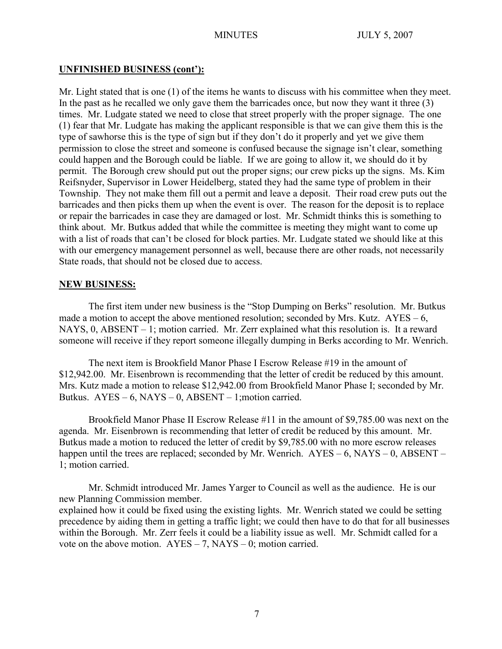## **UNFINISHED BUSINESS (cont'):**

Mr. Light stated that is one (1) of the items he wants to discuss with his committee when they meet. In the past as he recalled we only gave them the barricades once, but now they want it three (3) times. Mr. Ludgate stated we need to close that street properly with the proper signage. The one (1) fear that Mr. Ludgate has making the applicant responsible is that we can give them this is the type of sawhorse this is the type of sign but if they don't do it properly and yet we give them permission to close the street and someone is confused because the signage isn't clear, something could happen and the Borough could be liable. If we are going to allow it, we should do it by permit. The Borough crew should put out the proper signs; our crew picks up the signs. Ms. Kim Reifsnyder, Supervisor in Lower Heidelberg, stated they had the same type of problem in their Township. They not make them fill out a permit and leave a deposit. Their road crew puts out the barricades and then picks them up when the event is over. The reason for the deposit is to replace or repair the barricades in case they are damaged or lost. Mr. Schmidt thinks this is something to think about. Mr. Butkus added that while the committee is meeting they might want to come up with a list of roads that can't be closed for block parties. Mr. Ludgate stated we should like at this with our emergency management personnel as well, because there are other roads, not necessarily State roads, that should not be closed due to access.

## **NEW BUSINESS:**

The first item under new business is the "Stop Dumping on Berks" resolution. Mr. Butkus made a motion to accept the above mentioned resolution; seconded by Mrs. Kutz.  $AYES - 6$ , NAYS, 0, ABSENT – 1; motion carried. Mr. Zerr explained what this resolution is. It a reward someone will receive if they report someone illegally dumping in Berks according to Mr. Wenrich.

The next item is Brookfield Manor Phase I Escrow Release #19 in the amount of \$12,942.00. Mr. Eisenbrown is recommending that the letter of credit be reduced by this amount. Mrs. Kutz made a motion to release \$12,942.00 from Brookfield Manor Phase I; seconded by Mr. Butkus.  $AYES - 6$ ,  $NAYS - 0$ ,  $ABSENT - 1$ ; motion carried.

Brookfield Manor Phase II Escrow Release #11 in the amount of \$9,785.00 was next on the agenda. Mr. Eisenbrown is recommending that letter of credit be reduced by this amount. Mr. Butkus made a motion to reduced the letter of credit by \$9,785.00 with no more escrow releases happen until the trees are replaced; seconded by Mr. Wenrich. AYES – 6, NAYS – 0, ABSENT – 1; motion carried.

Mr. Schmidt introduced Mr. James Yarger to Council as well as the audience. He is our new Planning Commission member. explained how it could be fixed using the existing lights. Mr. Wenrich stated we could be setting precedence by aiding them in getting a traffic light; we could then have to do that for all businesses within the Borough. Mr. Zerr feels it could be a liability issue as well. Mr. Schmidt called for a vote on the above motion.  $AYES - 7$ ,  $NAYS - 0$ ; motion carried.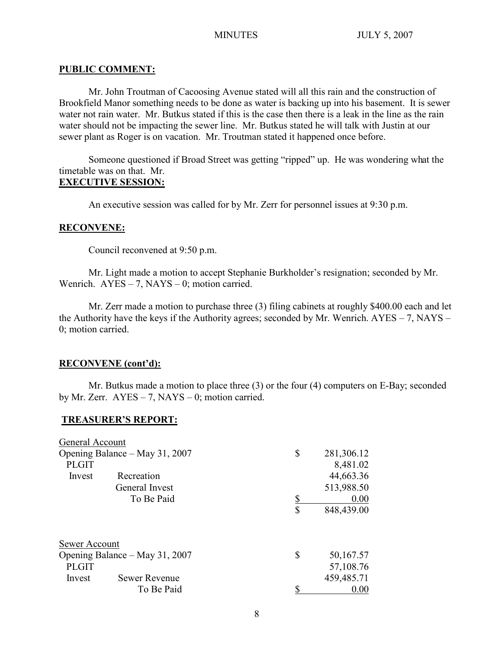## **PUBLIC COMMENT:**

Mr. John Troutman of Cacoosing Avenue stated will all this rain and the construction of Brookfield Manor something needs to be done as water is backing up into his basement. It is sewer water not rain water. Mr. Butkus stated if this is the case then there is a leak in the line as the rain water should not be impacting the sewer line. Mr. Butkus stated he will talk with Justin at our sewer plant as Roger is on vacation. Mr. Troutman stated it happened once before.

Someone questioned if Broad Street was getting "ripped" up. He was wondering what the timetable was on that. Mr.

# **EXECUTIVE SESSION:**

An executive session was called for by Mr. Zerr for personnel issues at 9:30 p.m.

## **RECONVENE:**

Council reconvened at 9:50 p.m.

Mr. Light made a motion to accept Stephanie Burkholder's resignation; seconded by Mr. Wenrich.  $AYES - 7$ ,  $NAYS - 0$ ; motion carried.

Mr. Zerr made a motion to purchase three (3) filing cabinets at roughly \$400.00 each and let the Authority have the keys if the Authority agrees; seconded by Mr. Wenrich. AYES – 7, NAYS – 0; motion carried.

## **RECONVENE (cont'd):**

Mr. Butkus made a motion to place three (3) or the four (4) computers on E-Bay; seconded by Mr. Zerr.  $AYES - 7$ ,  $NAYS - 0$ ; motion carried.

## **TREASURER'S REPORT:**

| General Account                                 |           |            |
|-------------------------------------------------|-----------|------------|
| Opening Balance – May 31, 2007                  | \$        | 281,306.12 |
| <b>PLGIT</b>                                    |           | 8,481.02   |
| Recreation<br>Invest                            |           | 44,663.36  |
| General Invest                                  |           | 513,988.50 |
| To Be Paid                                      | <u>\$</u> | 0.00       |
|                                                 | \$        | 848,439.00 |
| Sewer Account<br>Opening Balance – May 31, 2007 | \$        | 50,167.57  |
| <b>PLGIT</b>                                    |           | 57,108.76  |
| <b>Sewer Revenue</b><br>Invest                  |           | 459,485.71 |
| To Be Paid                                      |           | 0.00       |